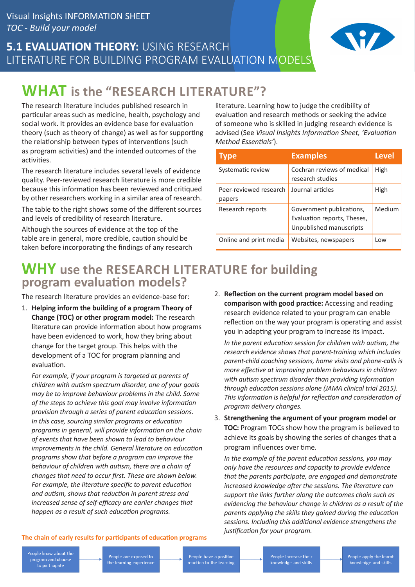### **5.1 EVALUATION THEORY: USING RESEARCH** LITERATURE FOR BUILDING PROGRAM EVALUATION MODELS



# **WHAT is the "RESEARCH LITERATURE"?**

The research literature includes published research in particular areas such as medicine, health, psychology and social work. It provides an evidence base for evaluation theory (such as theory of change) as well as for supporting the relationship between types of interventions (such as program activities) and the intended outcomes of the activities.

The research literature includes several levels of evidence quality. Peer-reviewed research literature is more credible because this information has been reviewed and critiqued by other researchers working in a similar area of research.

The table to the right shows some of the different sources and levels of credibility of research literature.

Although the sources of evidence at the top of the table are in general, more credible, caution should be taken before incorporating the findings of any research

literature. Learning how to judge the credibility of evaluation and research methods or seeking the advice of someone who is skilled in judging research evidence is advised (See *Visual Insights Information Sheet, 'Evaluation Method Essentials'*).

| <b>Type</b>                      | <b>Examples</b>                                                                    | <b>Level</b> |
|----------------------------------|------------------------------------------------------------------------------------|--------------|
| Systematic review                | Cochran reviews of medical<br>research studies                                     | High         |
| Peer-reviewed research<br>papers | Journal articles                                                                   | High         |
| Research reports                 | Government publications,<br>Evaluation reports, Theses,<br>Unpublished manuscripts | Medium       |
| Online and print media           | Websites, newspapers                                                               | Low          |

### **WHY use the RESEARCH LITERATURE for building program evaluation models?**

The research literature provides an evidence-base for:

1. **Helping inform the building of a program Theory of Change (TOC) or other program model:** The research literature can provide information about how programs have been evidenced to work, how they bring about change for the target group. This helps with the development of a TOC for program planning and evaluation.

*For example, if your program is targeted at parents of children with autism spectrum disorder, one of your goals may be to improve behaviour problems in the child. Some of the steps to achieve this goal may involve information provision through a series of parent education sessions. In this case, sourcing similar programs or education programs in general, will provide information on the chain of events that have been shown to lead to behaviour improvements in the child. General literature on education programs show that before a program can improve the behaviour of children with autism, there are a chain of changes that need to occur first. These are shown below. For example, the literature specific to parent education and autism, shows that reduction in parent stress and increased sense of self-efficacy are earlier changes that happen as a result of such education programs.*

2. **Reflection on the current program model based on comparison with good practice:** Accessing and reading research evidence related to your program can enable reflection on the way your program is operating and assist you in adapting your program to increase its impact.

*In the parent education session for children with autism, the research evidence shows that parent-training which includes parent-child coaching sessions, home visits and phone-calls is more effective at improving problem behaviours in children with autism spectrum disorder than providing information through education sessions alone (JAMA clinical trial 2015). This information is helpful for reflection and consideration of program delivery changes.*

3. **Strengthening the argument of your program model or TOC:** Program TOCs show how the program is believed to achieve its goals by showing the series of changes that a program influences over time.

*In the example of the parent education sessions, you may only have the resources and capacity to provide evidence that the parents participate, are engaged and demonstrate increased knowledge after the sessions. The literature can support the links further along the outcomes chain such as evidencing the behaviour change in children as a result of the parents applying the skills they gained during the education sessions. Including this additional evidence strengthens the justification for your program.*

#### **The chain of early results for participants of education programs**

People know about the program and choose to participate

People have a positive<br>reaction to the learning